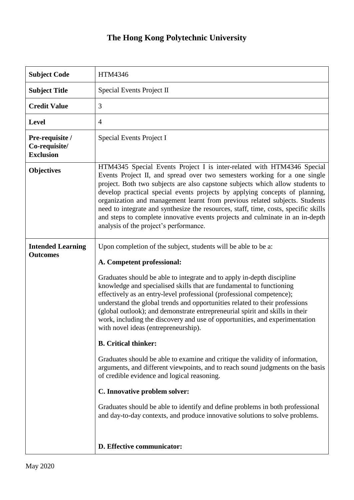## **The Hong Kong Polytechnic University**

| <b>Subject Code</b>                                  | HTM4346                                                                                                                                                                                                                                                                                                                                                                                                                                                                                                                                                                                                              |
|------------------------------------------------------|----------------------------------------------------------------------------------------------------------------------------------------------------------------------------------------------------------------------------------------------------------------------------------------------------------------------------------------------------------------------------------------------------------------------------------------------------------------------------------------------------------------------------------------------------------------------------------------------------------------------|
| <b>Subject Title</b>                                 | Special Events Project II                                                                                                                                                                                                                                                                                                                                                                                                                                                                                                                                                                                            |
| <b>Credit Value</b>                                  | 3                                                                                                                                                                                                                                                                                                                                                                                                                                                                                                                                                                                                                    |
| <b>Level</b>                                         | $\overline{4}$                                                                                                                                                                                                                                                                                                                                                                                                                                                                                                                                                                                                       |
| Pre-requisite /<br>Co-requisite/<br><b>Exclusion</b> | Special Events Project I                                                                                                                                                                                                                                                                                                                                                                                                                                                                                                                                                                                             |
| <b>Objectives</b>                                    | HTM4345 Special Events Project I is inter-related with HTM4346 Special<br>Events Project II, and spread over two semesters working for a one single<br>project. Both two subjects are also capstone subjects which allow students to<br>develop practical special events projects by applying concepts of planning,<br>organization and management learnt from previous related subjects. Students<br>need to integrate and synthesize the resources, staff, time, costs, specific skills<br>and steps to complete innovative events projects and culminate in an in-depth<br>analysis of the project's performance. |
| <b>Intended Learning</b><br><b>Outcomes</b>          | Upon completion of the subject, students will be able to be a:<br>A. Competent professional:                                                                                                                                                                                                                                                                                                                                                                                                                                                                                                                         |
|                                                      | Graduates should be able to integrate and to apply in-depth discipline<br>knowledge and specialised skills that are fundamental to functioning<br>effectively as an entry-level professional (professional competence);<br>understand the global trends and opportunities related to their professions<br>(global outlook); and demonstrate entrepreneurial spirit and skills in their<br>work, including the discovery and use of opportunities, and experimentation<br>with novel ideas (entrepreneurship).                                                                                                        |
|                                                      | <b>B.</b> Critical thinker:                                                                                                                                                                                                                                                                                                                                                                                                                                                                                                                                                                                          |
|                                                      | Graduates should be able to examine and critique the validity of information,<br>arguments, and different viewpoints, and to reach sound judgments on the basis<br>of credible evidence and logical reasoning.                                                                                                                                                                                                                                                                                                                                                                                                       |
|                                                      | C. Innovative problem solver:                                                                                                                                                                                                                                                                                                                                                                                                                                                                                                                                                                                        |
|                                                      | Graduates should be able to identify and define problems in both professional<br>and day-to-day contexts, and produce innovative solutions to solve problems.                                                                                                                                                                                                                                                                                                                                                                                                                                                        |
|                                                      | D. Effective communicator:                                                                                                                                                                                                                                                                                                                                                                                                                                                                                                                                                                                           |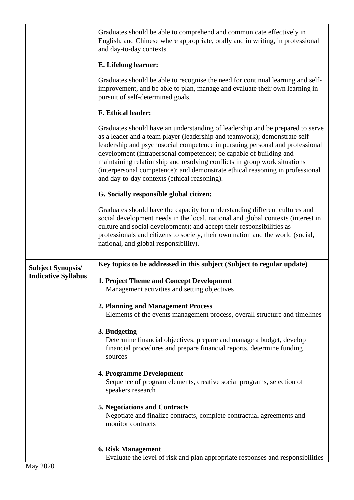|                                                        | Graduates should be able to comprehend and communicate effectively in<br>English, and Chinese where appropriate, orally and in writing, in professional<br>and day-to-day contexts.                                                                                                                                                                                                                                                                                                                                             |
|--------------------------------------------------------|---------------------------------------------------------------------------------------------------------------------------------------------------------------------------------------------------------------------------------------------------------------------------------------------------------------------------------------------------------------------------------------------------------------------------------------------------------------------------------------------------------------------------------|
|                                                        | E. Lifelong learner:                                                                                                                                                                                                                                                                                                                                                                                                                                                                                                            |
|                                                        | Graduates should be able to recognise the need for continual learning and self-<br>improvement, and be able to plan, manage and evaluate their own learning in<br>pursuit of self-determined goals.                                                                                                                                                                                                                                                                                                                             |
|                                                        | <b>F. Ethical leader:</b>                                                                                                                                                                                                                                                                                                                                                                                                                                                                                                       |
|                                                        | Graduates should have an understanding of leadership and be prepared to serve<br>as a leader and a team player (leadership and teamwork); demonstrate self-<br>leadership and psychosocial competence in pursuing personal and professional<br>development (intrapersonal competence); be capable of building and<br>maintaining relationship and resolving conflicts in group work situations<br>(interpersonal competence); and demonstrate ethical reasoning in professional<br>and day-to-day contexts (ethical reasoning). |
|                                                        | G. Socially responsible global citizen:                                                                                                                                                                                                                                                                                                                                                                                                                                                                                         |
|                                                        | Graduates should have the capacity for understanding different cultures and<br>social development needs in the local, national and global contexts (interest in<br>culture and social development); and accept their responsibilities as<br>professionals and citizens to society, their own nation and the world (social,<br>national, and global responsibility).                                                                                                                                                             |
| <b>Subject Synopsis/</b><br><b>Indicative Syllabus</b> | Key topics to be addressed in this subject (Subject to regular update)                                                                                                                                                                                                                                                                                                                                                                                                                                                          |
|                                                        | 1. Project Theme and Concept Development<br>Management activities and setting objectives                                                                                                                                                                                                                                                                                                                                                                                                                                        |
|                                                        | 2. Planning and Management Process                                                                                                                                                                                                                                                                                                                                                                                                                                                                                              |
|                                                        |                                                                                                                                                                                                                                                                                                                                                                                                                                                                                                                                 |
|                                                        | Elements of the events management process, overall structure and timelines                                                                                                                                                                                                                                                                                                                                                                                                                                                      |
|                                                        | 3. Budgeting<br>Determine financial objectives, prepare and manage a budget, develop<br>financial procedures and prepare financial reports, determine funding<br>sources                                                                                                                                                                                                                                                                                                                                                        |
|                                                        | 4. Programme Development<br>Sequence of program elements, creative social programs, selection of<br>speakers research                                                                                                                                                                                                                                                                                                                                                                                                           |
|                                                        | <b>5. Negotiations and Contracts</b><br>Negotiate and finalize contracts, complete contractual agreements and<br>monitor contracts                                                                                                                                                                                                                                                                                                                                                                                              |